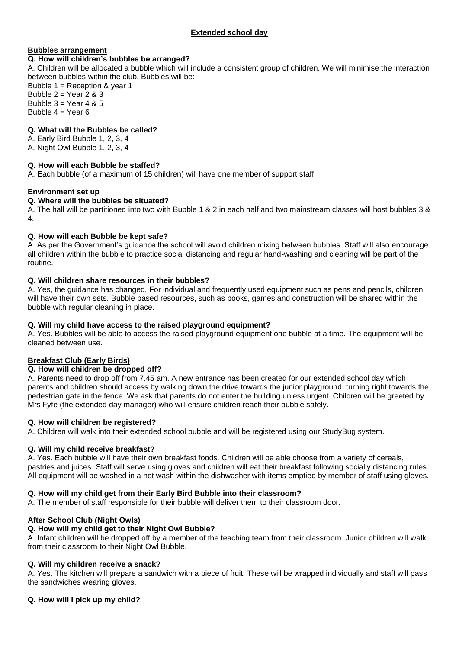# **Extended school day**

## **Bubbles arrangement**

#### **Q. How will children's bubbles be arranged?**

A. Children will be allocated a bubble which will include a consistent group of children. We will minimise the interaction between bubbles within the club. Bubbles will be:

Bubble 1 = Reception & year 1 Bubble  $2 =$  Year  $2 & 3$ Bubble  $3 =$  Year 4 & 5 Bubble  $4 = Year 6$ 

### **Q. What will the Bubbles be called?**

- A. Early Bird Bubble 1, 2, 3, 4
- A. Night Owl Bubble 1, 2, 3, 4

### **Q. How will each Bubble be staffed?**

A. Each bubble (of a maximum of 15 children) will have one member of support staff.

### **Environment set up**

#### **Q. Where will the bubbles be situated?**

A. The hall will be partitioned into two with Bubble 1 & 2 in each half and two mainstream classes will host bubbles 3 & 4.

### **Q. How will each Bubble be kept safe?**

A. As per the Government's guidance the school will avoid children mixing between bubbles. Staff will also encourage all children within the bubble to practice social distancing and regular hand-washing and cleaning will be part of the routine.

## **Q. Will children share resources in their bubbles?**

A. Yes, the guidance has changed. For individual and frequently used equipment such as pens and pencils, children will have their own sets. Bubble based resources, such as books, games and construction will be shared within the bubble with regular cleaning in place.

#### **Q. Will my child have access to the raised playground equipment?**

A. Yes. Bubbles will be able to access the raised playground equipment one bubble at a time. The equipment will be cleaned between use.

## **Breakfast Club (Early Birds)**

#### **Q. How will children be dropped off?**

A. Parents need to drop off from 7.45 am. A new entrance has been created for our extended school day which parents and children should access by walking down the drive towards the junior playground, turning right towards the pedestrian gate in the fence. We ask that parents do not enter the building unless urgent. Children will be greeted by Mrs Fyfe (the extended day manager) who will ensure children reach their bubble safely.

#### **Q. How will children be registered?**

A. Children will walk into their extended school bubble and will be registered using our StudyBug system.

## **Q. Will my child receive breakfast?**

A. Yes. Each bubble will have their own breakfast foods. Children will be able choose from a variety of cereals, pastries and juices. Staff will serve using gloves and children will eat their breakfast following socially distancing rules. All equipment will be washed in a hot wash within the dishwasher with items emptied by member of staff using gloves.

## **Q. How will my child get from their Early Bird Bubble into their classroom?**

A. The member of staff responsible for their bubble will deliver them to their classroom door.

## **After School Club (Night Owls)**

## **Q. How will my child get to their Night Owl Bubble?**

A. Infant children will be dropped off by a member of the teaching team from their classroom. Junior children will walk from their classroom to their Night Owl Bubble.

#### **Q. Will my children receive a snack?**

A. Yes. The kitchen will prepare a sandwich with a piece of fruit. These will be wrapped individually and staff will pass the sandwiches wearing gloves.

#### **Q. How will I pick up my child?**